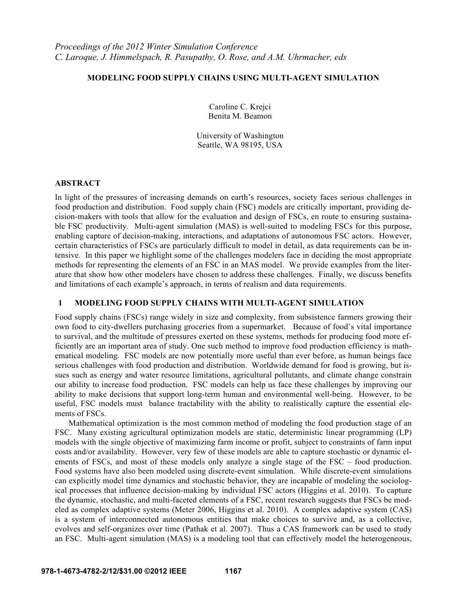# **MODELING FOOD SUPPLY CHAINS USING MULTI-AGENT SIMULATION**

Caroline C. Krejci Benita M. Beamon

University of Washington Seattle, WA 98195, USA

### **ABSTRACT**

In light of the pressures of increasing demands on earth's resources, society faces serious challenges in food production and distribution. Food supply chain (FSC) models are critically important, providing decision-makers with tools that allow for the evaluation and design of FSCs, en route to ensuring sustainable FSC productivity. Multi-agent simulation (MAS) is well-suited to modeling FSCs for this purpose, enabling capture of decision-making, interactions, and adaptations of autonomous FSC actors. However, certain characteristics of FSCs are particularly difficult to model in detail, as data requirements can be intensive. In this paper we highlight some of the challenges modelers face in deciding the most appropriate methods for representing the elements of an FSC in an MAS model. We provide examples from the literature that show how other modelers have chosen to address these challenges. Finally, we discuss benefits and limitations of each example's approach, in terms of realism and data requirements.

# **1 MODELING FOOD SUPPLY CHAINS WITH MULTI-AGENT SIMULATION**

Food supply chains (FSCs) range widely in size and complexity, from subsistence farmers growing their own food to city-dwellers purchasing groceries from a supermarket. Because of food's vital importance to survival, and the multitude of pressures exerted on these systems, methods for producing food more efficiently are an important area of study. One such method to improve food production efficiency is mathematical modeling. FSC models are now potentially more useful than ever before, as human beings face serious challenges with food production and distribution. Worldwide demand for food is growing, but issues such as energy and water resource limitations, agricultural pollutants, and climate change constrain our ability to increase food production. FSC models can help us face these challenges by improving our ability to make decisions that support long-term human and environmental well-being. However, to be useful, FSC models must balance tractability with the ability to realistically capture the essential elements of FSCs.

Mathematical optimization is the most common method of modeling the food production stage of an FSC. Many existing agricultural optimization models are static, deterministic linear programming (LP) models with the single objective of maximizing farm income or profit, subject to constraints of farm input costs and/or availability. However, very few of these models are able to capture stochastic or dynamic elements of FSCs, and most of these models only analyze a single stage of the FSC – food production. Food systems have also been modeled using discrete-event simulation. While discrete-event simulations can explicitly model time dynamics and stochastic behavior, they are incapable of modeling the sociological processes that influence decision-making by individual FSC actors (Higgins et al. 2010). To capture the dynamic, stochastic, and multi-faceted elements of a FSC, recent research suggests that FSCs be modeled as complex adaptive systems (Meter 2006, Higgins et al. 2010). A complex adaptive system (CAS) is a system of interconnected autonomous entities that make choices to survive and, as a collective, evolves and self-organizes over time (Pathak et al. 2007). Thus a CAS framework can be used to study an FSC. Multi-agent simulation (MAS) is a modeling tool that can effectively model the heterogeneous,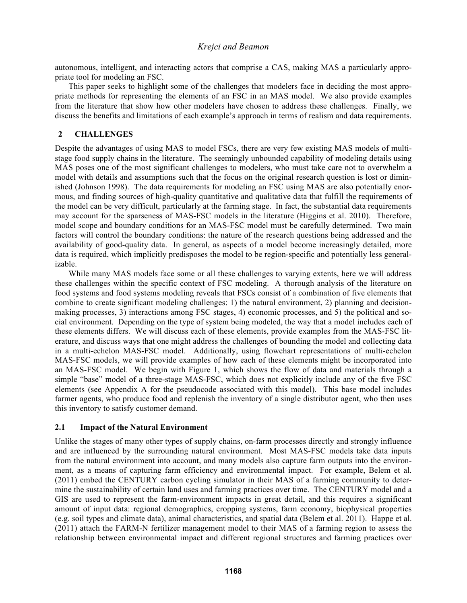autonomous, intelligent, and interacting actors that comprise a CAS, making MAS a particularly appropriate tool for modeling an FSC.

This paper seeks to highlight some of the challenges that modelers face in deciding the most appropriate methods for representing the elements of an FSC in an MAS model. We also provide examples from the literature that show how other modelers have chosen to address these challenges. Finally, we discuss the benefits and limitations of each example's approach in terms of realism and data requirements.

# **2 CHALLENGES**

Despite the advantages of using MAS to model FSCs, there are very few existing MAS models of multistage food supply chains in the literature. The seemingly unbounded capability of modeling details using MAS poses one of the most significant challenges to modelers, who must take care not to overwhelm a model with details and assumptions such that the focus on the original research question is lost or diminished (Johnson 1998). The data requirements for modeling an FSC using MAS are also potentially enormous, and finding sources of high-quality quantitative and qualitative data that fulfill the requirements of the model can be very difficult, particularly at the farming stage. In fact, the substantial data requirements may account for the sparseness of MAS-FSC models in the literature (Higgins et al. 2010). Therefore, model scope and boundary conditions for an MAS-FSC model must be carefully determined. Two main factors will control the boundary conditions: the nature of the research questions being addressed and the availability of good-quality data. In general, as aspects of a model become increasingly detailed, more data is required, which implicitly predisposes the model to be region-specific and potentially less generalizable.

While many MAS models face some or all these challenges to varying extents, here we will address these challenges within the specific context of FSC modeling. A thorough analysis of the literature on food systems and food systems modeling reveals that FSCs consist of a combination of five elements that combine to create significant modeling challenges: 1) the natural environment, 2) planning and decisionmaking processes, 3) interactions among FSC stages, 4) economic processes, and 5) the political and social environment. Depending on the type of system being modeled, the way that a model includes each of these elements differs. We will discuss each of these elements, provide examples from the MAS-FSC literature, and discuss ways that one might address the challenges of bounding the model and collecting data in a multi-echelon MAS-FSC model. Additionally, using flowchart representations of multi-echelon MAS-FSC models, we will provide examples of how each of these elements might be incorporated into an MAS-FSC model. We begin with Figure 1, which shows the flow of data and materials through a simple "base" model of a three-stage MAS-FSC, which does not explicitly include any of the five FSC elements (see Appendix A for the pseudocode associated with this model). This base model includes farmer agents, who produce food and replenish the inventory of a single distributor agent, who then uses this inventory to satisfy customer demand.

## **2.1 Impact of the Natural Environment**

Unlike the stages of many other types of supply chains, on-farm processes directly and strongly influence and are influenced by the surrounding natural environment. Most MAS-FSC models take data inputs from the natural environment into account, and many models also capture farm outputs into the environment, as a means of capturing farm efficiency and environmental impact. For example, Belem et al. (2011) embed the CENTURY carbon cycling simulator in their MAS of a farming community to determine the sustainability of certain land uses and farming practices over time. The CENTURY model and a GIS are used to represent the farm-environment impacts in great detail, and this requires a significant amount of input data: regional demographics, cropping systems, farm economy, biophysical properties (e.g. soil types and climate data), animal characteristics, and spatial data (Belem et al. 2011). Happe et al. (2011) attach the FARM-N fertilizer management model to their MAS of a farming region to assess the relationship between environmental impact and different regional structures and farming practices over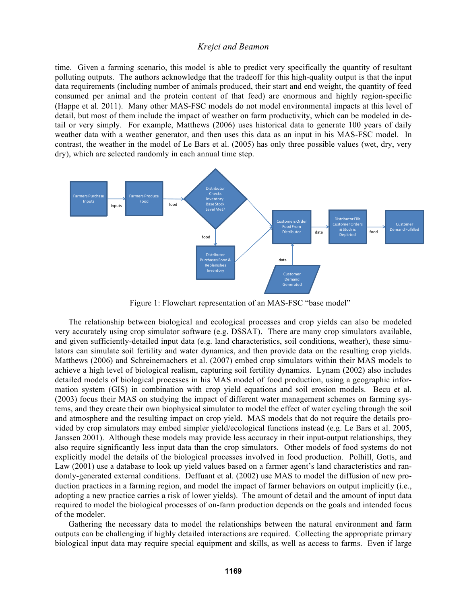time. Given a farming scenario, this model is able to predict very specifically the quantity of resultant polluting outputs. The authors acknowledge that the tradeoff for this high-quality output is that the input data requirements (including number of animals produced, their start and end weight, the quantity of feed consumed per animal and the protein content of that feed) are enormous and highly region-specific (Happe et al. 2011). Many other MAS-FSC models do not model environmental impacts at this level of detail, but most of them include the impact of weather on farm productivity, which can be modeled in detail or very simply. For example, Matthews (2006) uses historical data to generate 100 years of daily weather data with a weather generator, and then uses this data as an input in his MAS-FSC model. In contrast, the weather in the model of Le Bars et al. (2005) has only three possible values (wet, dry, very dry), which are selected randomly in each annual time step.



Figure 1: Flowchart representation of an MAS-FSC "base model"

 The relationship between biological and ecological processes and crop yields can also be modeled very accurately using crop simulator software (e.g. DSSAT). There are many crop simulators available, and given sufficiently-detailed input data (e.g. land characteristics, soil conditions, weather), these simulators can simulate soil fertility and water dynamics, and then provide data on the resulting crop yields. Matthews (2006) and Schreinemachers et al. (2007) embed crop simulators within their MAS models to achieve a high level of biological realism, capturing soil fertility dynamics. Lynam (2002) also includes detailed models of biological processes in his MAS model of food production, using a geographic information system (GIS) in combination with crop yield equations and soil erosion models. Becu et al. (2003) focus their MAS on studying the impact of different water management schemes on farming systems, and they create their own biophysical simulator to model the effect of water cycling through the soil and atmosphere and the resulting impact on crop yield. MAS models that do not require the details provided by crop simulators may embed simpler yield/ecological functions instead (e.g. Le Bars et al. 2005, Janssen 2001). Although these models may provide less accuracy in their input-output relationships, they also require significantly less input data than the crop simulators. Other models of food systems do not explicitly model the details of the biological processes involved in food production. Polhill, Gotts, and Law (2001) use a database to look up yield values based on a farmer agent's land characteristics and randomly-generated external conditions. Deffuant et al. (2002) use MAS to model the diffusion of new production practices in a farming region, and model the impact of farmer behaviors on output implicitly (i.e., adopting a new practice carries a risk of lower yields). The amount of detail and the amount of input data required to model the biological processes of on-farm production depends on the goals and intended focus of the modeler.

 Gathering the necessary data to model the relationships between the natural environment and farm outputs can be challenging if highly detailed interactions are required. Collecting the appropriate primary biological input data may require special equipment and skills, as well as access to farms. Even if large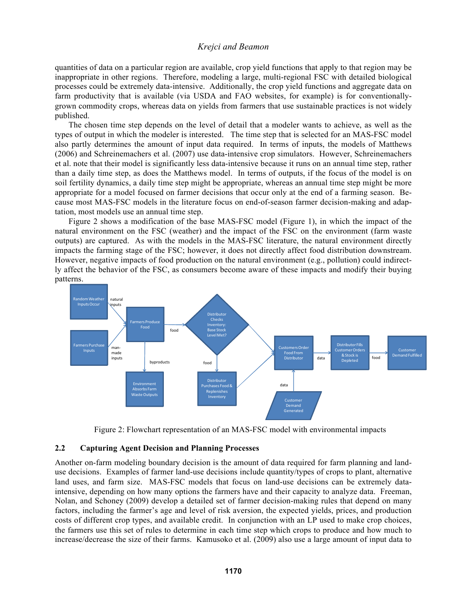quantities of data on a particular region are available, crop yield functions that apply to that region may be inappropriate in other regions. Therefore, modeling a large, multi-regional FSC with detailed biological processes could be extremely data-intensive. Additionally, the crop yield functions and aggregate data on farm productivity that is available (via USDA and FAO websites, for example) is for conventionallygrown commodity crops, whereas data on yields from farmers that use sustainable practices is not widely published.

The chosen time step depends on the level of detail that a modeler wants to achieve, as well as the types of output in which the modeler is interested. The time step that is selected for an MAS-FSC model also partly determines the amount of input data required. In terms of inputs, the models of Matthews (2006) and Schreinemachers et al. (2007) use data-intensive crop simulators. However, Schreinemachers et al. note that their model is significantly less data-intensive because it runs on an annual time step, rather than a daily time step, as does the Matthews model. In terms of outputs, if the focus of the model is on soil fertility dynamics, a daily time step might be appropriate, whereas an annual time step might be more appropriate for a model focused on farmer decisions that occur only at the end of a farming season. Because most MAS-FSC models in the literature focus on end-of-season farmer decision-making and adaptation, most models use an annual time step.

Figure 2 shows a modification of the base MAS-FSC model (Figure 1), in which the impact of the natural environment on the FSC (weather) and the impact of the FSC on the environment (farm waste outputs) are captured. As with the models in the MAS-FSC literature, the natural environment directly impacts the farming stage of the FSC; however, it does not directly affect food distribution downstream. However, negative impacts of food production on the natural environment (e.g., pollution) could indirectly affect the behavior of the FSC, as consumers become aware of these impacts and modify their buying patterns.





#### **2.2 Capturing Agent Decision and Planning Processes**

Another on-farm modeling boundary decision is the amount of data required for farm planning and landuse decisions. Examples of farmer land-use decisions include quantity/types of crops to plant, alternative land uses, and farm size. MAS-FSC models that focus on land-use decisions can be extremely dataintensive, depending on how many options the farmers have and their capacity to analyze data. Freeman, Nolan, and Schoney (2009) develop a detailed set of farmer decision-making rules that depend on many factors, including the farmer's age and level of risk aversion, the expected yields, prices, and production costs of different crop types, and available credit. In conjunction with an LP used to make crop choices, the farmers use this set of rules to determine in each time step which crops to produce and how much to increase/decrease the size of their farms. Kamusoko et al. (2009) also use a large amount of input data to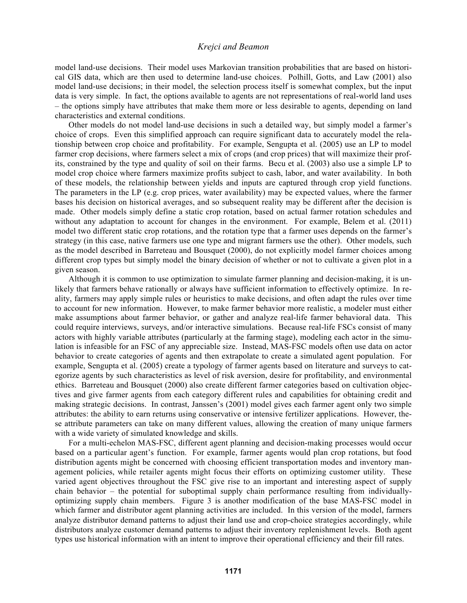model land-use decisions. Their model uses Markovian transition probabilities that are based on historical GIS data, which are then used to determine land-use choices. Polhill, Gotts, and Law (2001) also model land-use decisions; in their model, the selection process itself is somewhat complex, but the input data is very simple. In fact, the options available to agents are not representations of real-world land uses – the options simply have attributes that make them more or less desirable to agents, depending on land characteristics and external conditions.

Other models do not model land-use decisions in such a detailed way, but simply model a farmer's choice of crops. Even this simplified approach can require significant data to accurately model the relationship between crop choice and profitability. For example, Sengupta et al. (2005) use an LP to model farmer crop decisions, where farmers select a mix of crops (and crop prices) that will maximize their profits, constrained by the type and quality of soil on their farms. Becu et al. (2003) also use a simple LP to model crop choice where farmers maximize profits subject to cash, labor, and water availability. In both of these models, the relationship between yields and inputs are captured through crop yield functions. The parameters in the LP (e.g. crop prices, water availability) may be expected values, where the farmer bases his decision on historical averages, and so subsequent reality may be different after the decision is made. Other models simply define a static crop rotation, based on actual farmer rotation schedules and without any adaptation to account for changes in the environment. For example, Belem et al. (2011) model two different static crop rotations, and the rotation type that a farmer uses depends on the farmer's strategy (in this case, native farmers use one type and migrant farmers use the other). Other models, such as the model described in Barreteau and Bousquet (2000), do not explicitly model farmer choices among different crop types but simply model the binary decision of whether or not to cultivate a given plot in a given season.

Although it is common to use optimization to simulate farmer planning and decision-making, it is unlikely that farmers behave rationally or always have sufficient information to effectively optimize. In reality, farmers may apply simple rules or heuristics to make decisions, and often adapt the rules over time to account for new information. However, to make farmer behavior more realistic, a modeler must either make assumptions about farmer behavior, or gather and analyze real-life farmer behavioral data. This could require interviews, surveys, and/or interactive simulations. Because real-life FSCs consist of many actors with highly variable attributes (particularly at the farming stage), modeling each actor in the simulation is infeasible for an FSC of any appreciable size. Instead, MAS-FSC models often use data on actor behavior to create categories of agents and then extrapolate to create a simulated agent population. For example, Sengupta et al. (2005) create a typology of farmer agents based on literature and surveys to categorize agents by such characteristics as level of risk aversion, desire for profitability, and environmental ethics. Barreteau and Bousquet (2000) also create different farmer categories based on cultivation objectives and give farmer agents from each category different rules and capabilities for obtaining credit and making strategic decisions. In contrast, Janssen's (2001) model gives each farmer agent only two simple attributes: the ability to earn returns using conservative or intensive fertilizer applications. However, these attribute parameters can take on many different values, allowing the creation of many unique farmers with a wide variety of simulated knowledge and skills.

For a multi-echelon MAS-FSC, different agent planning and decision-making processes would occur based on a particular agent's function. For example, farmer agents would plan crop rotations, but food distribution agents might be concerned with choosing efficient transportation modes and inventory management policies, while retailer agents might focus their efforts on optimizing customer utility. These varied agent objectives throughout the FSC give rise to an important and interesting aspect of supply chain behavior – the potential for suboptimal supply chain performance resulting from individuallyoptimizing supply chain members. Figure 3 is another modification of the base MAS-FSC model in which farmer and distributor agent planning activities are included. In this version of the model, farmers analyze distributor demand patterns to adjust their land use and crop-choice strategies accordingly, while distributors analyze customer demand patterns to adjust their inventory replenishment levels. Both agent types use historical information with an intent to improve their operational efficiency and their fill rates.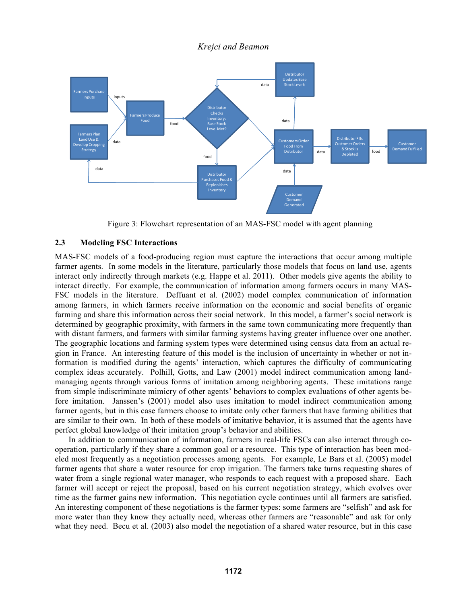

Figure 3: Flowchart representation of an MAS-FSC model with agent planning

### **2.3 Modeling FSC Interactions**

MAS-FSC models of a food-producing region must capture the interactions that occur among multiple farmer agents. In some models in the literature, particularly those models that focus on land use, agents interact only indirectly through markets (e.g. Happe et al. 2011). Other models give agents the ability to interact directly. For example, the communication of information among farmers occurs in many MAS-FSC models in the literature. Deffuant et al. (2002) model complex communication of information among farmers, in which farmers receive information on the economic and social benefits of organic farming and share this information across their social network. In this model, a farmer's social network is determined by geographic proximity, with farmers in the same town communicating more frequently than with distant farmers, and farmers with similar farming systems having greater influence over one another. The geographic locations and farming system types were determined using census data from an actual region in France. An interesting feature of this model is the inclusion of uncertainty in whether or not information is modified during the agents' interaction, which captures the difficulty of communicating complex ideas accurately. Polhill, Gotts, and Law (2001) model indirect communication among landmanaging agents through various forms of imitation among neighboring agents. These imitations range from simple indiscriminate mimicry of other agents' behaviors to complex evaluations of other agents before imitation. Janssen's (2001) model also uses imitation to model indirect communication among farmer agents, but in this case farmers choose to imitate only other farmers that have farming abilities that are similar to their own. In both of these models of imitative behavior, it is assumed that the agents have perfect global knowledge of their imitation group's behavior and abilities.

In addition to communication of information, farmers in real-life FSCs can also interact through cooperation, particularly if they share a common goal or a resource. This type of interaction has been modeled most frequently as a negotiation processes among agents. For example, Le Bars et al. (2005) model farmer agents that share a water resource for crop irrigation. The farmers take turns requesting shares of water from a single regional water manager, who responds to each request with a proposed share. Each farmer will accept or reject the proposal, based on his current negotiation strategy, which evolves over time as the farmer gains new information. This negotiation cycle continues until all farmers are satisfied. An interesting component of these negotiations is the farmer types: some farmers are "selfish" and ask for more water than they know they actually need, whereas other farmers are "reasonable" and ask for only what they need. Becu et al. (2003) also model the negotiation of a shared water resource, but in this case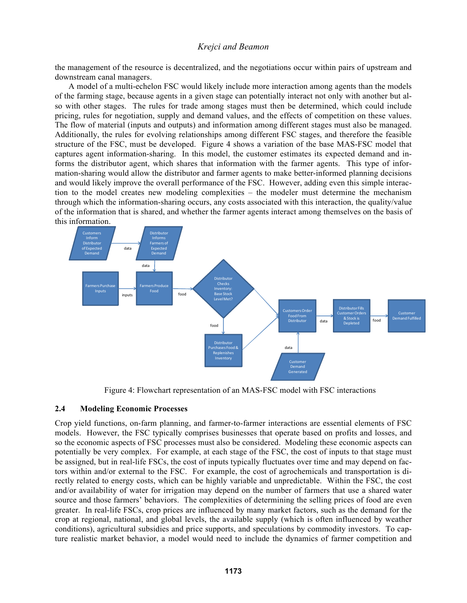the management of the resource is decentralized, and the negotiations occur within pairs of upstream and downstream canal managers.

A model of a multi-echelon FSC would likely include more interaction among agents than the models of the farming stage, because agents in a given stage can potentially interact not only with another but also with other stages. The rules for trade among stages must then be determined, which could include pricing, rules for negotiation, supply and demand values, and the effects of competition on these values. The flow of material (inputs and outputs) and information among different stages must also be managed. Additionally, the rules for evolving relationships among different FSC stages, and therefore the feasible structure of the FSC, must be developed. Figure 4 shows a variation of the base MAS-FSC model that captures agent information-sharing. In this model, the customer estimates its expected demand and informs the distributor agent, which shares that information with the farmer agents. This type of information-sharing would allow the distributor and farmer agents to make better-informed planning decisions and would likely improve the overall performance of the FSC. However, adding even this simple interaction to the model creates new modeling complexities – the modeler must determine the mechanism through which the information-sharing occurs, any costs associated with this interaction, the quality/value of the information that is shared, and whether the farmer agents interact among themselves on the basis of this information.



Figure 4: Flowchart representation of an MAS-FSC model with FSC interactions

## **2.4 Modeling Economic Processes**

Crop yield functions, on-farm planning, and farmer-to-farmer interactions are essential elements of FSC models. However, the FSC typically comprises businesses that operate based on profits and losses, and so the economic aspects of FSC processes must also be considered. Modeling these economic aspects can potentially be very complex. For example, at each stage of the FSC, the cost of inputs to that stage must be assigned, but in real-life FSCs, the cost of inputs typically fluctuates over time and may depend on factors within and/or external to the FSC. For example, the cost of agrochemicals and transportation is directly related to energy costs, which can be highly variable and unpredictable. Within the FSC, the cost and/or availability of water for irrigation may depend on the number of farmers that use a shared water source and those farmers' behaviors. The complexities of determining the selling prices of food are even greater. In real-life FSCs, crop prices are influenced by many market factors, such as the demand for the crop at regional, national, and global levels, the available supply (which is often influenced by weather conditions), agricultural subsidies and price supports, and speculations by commodity investors. To capture realistic market behavior, a model would need to include the dynamics of farmer competition and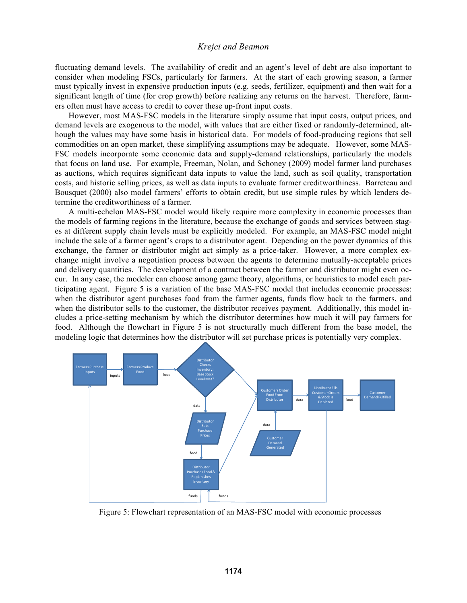fluctuating demand levels. The availability of credit and an agent's level of debt are also important to consider when modeling FSCs, particularly for farmers. At the start of each growing season, a farmer must typically invest in expensive production inputs (e.g. seeds, fertilizer, equipment) and then wait for a significant length of time (for crop growth) before realizing any returns on the harvest. Therefore, farmers often must have access to credit to cover these up-front input costs.

However, most MAS-FSC models in the literature simply assume that input costs, output prices, and demand levels are exogenous to the model, with values that are either fixed or randomly-determined, although the values may have some basis in historical data. For models of food-producing regions that sell commodities on an open market, these simplifying assumptions may be adequate. However, some MAS-FSC models incorporate some economic data and supply-demand relationships, particularly the models that focus on land use. For example, Freeman, Nolan, and Schoney (2009) model farmer land purchases as auctions, which requires significant data inputs to value the land, such as soil quality, transportation costs, and historic selling prices, as well as data inputs to evaluate farmer creditworthiness. Barreteau and Bousquet (2000) also model farmers' efforts to obtain credit, but use simple rules by which lenders determine the creditworthiness of a farmer.

 A multi-echelon MAS-FSC model would likely require more complexity in economic processes than the models of farming regions in the literature, because the exchange of goods and services between stages at different supply chain levels must be explicitly modeled. For example, an MAS-FSC model might include the sale of a farmer agent's crops to a distributor agent. Depending on the power dynamics of this exchange, the farmer or distributor might act simply as a price-taker. However, a more complex exchange might involve a negotiation process between the agents to determine mutually-acceptable prices and delivery quantities. The development of a contract between the farmer and distributor might even occur. In any case, the modeler can choose among game theory, algorithms, or heuristics to model each participating agent. Figure 5 is a variation of the base MAS-FSC model that includes economic processes: when the distributor agent purchases food from the farmer agents, funds flow back to the farmers, and when the distributor sells to the customer, the distributor receives payment. Additionally, this model includes a price-setting mechanism by which the distributor determines how much it will pay farmers for food. Although the flowchart in Figure 5 is not structurally much different from the base model, the modeling logic that determines how the distributor will set purchase prices is potentially very complex.



Figure 5: Flowchart representation of an MAS-FSC model with economic processes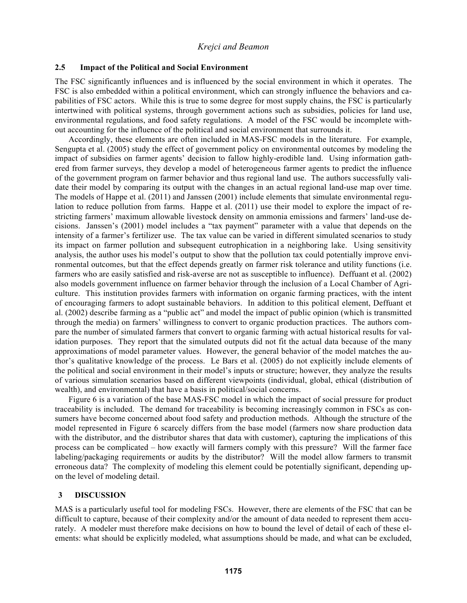## **2.5 Impact of the Political and Social Environment**

The FSC significantly influences and is influenced by the social environment in which it operates. The FSC is also embedded within a political environment, which can strongly influence the behaviors and capabilities of FSC actors. While this is true to some degree for most supply chains, the FSC is particularly intertwined with political systems, through government actions such as subsidies, policies for land use, environmental regulations, and food safety regulations. A model of the FSC would be incomplete without accounting for the influence of the political and social environment that surrounds it.

Accordingly, these elements are often included in MAS-FSC models in the literature. For example, Sengupta et al. (2005) study the effect of government policy on environmental outcomes by modeling the impact of subsidies on farmer agents' decision to fallow highly-erodible land. Using information gathered from farmer surveys, they develop a model of heterogeneous farmer agents to predict the influence of the government program on farmer behavior and thus regional land use. The authors successfully validate their model by comparing its output with the changes in an actual regional land-use map over time. The models of Happe et al. (2011) and Janssen (2001) include elements that simulate environmental regulation to reduce pollution from farms. Happe et al. (2011) use their model to explore the impact of restricting farmers' maximum allowable livestock density on ammonia emissions and farmers' land-use decisions. Janssen's (2001) model includes a "tax payment" parameter with a value that depends on the intensity of a farmer's fertilizer use. The tax value can be varied in different simulated scenarios to study its impact on farmer pollution and subsequent eutrophication in a neighboring lake. Using sensitivity analysis, the author uses his model's output to show that the pollution tax could potentially improve environmental outcomes, but that the effect depends greatly on farmer risk tolerance and utility functions (i.e. farmers who are easily satisfied and risk-averse are not as susceptible to influence). Deffuant et al. (2002) also models government influence on farmer behavior through the inclusion of a Local Chamber of Agriculture. This institution provides farmers with information on organic farming practices, with the intent of encouraging farmers to adopt sustainable behaviors. In addition to this political element, Deffuant et al. (2002) describe farming as a "public act" and model the impact of public opinion (which is transmitted through the media) on farmers' willingness to convert to organic production practices. The authors compare the number of simulated farmers that convert to organic farming with actual historical results for validation purposes. They report that the simulated outputs did not fit the actual data because of the many approximations of model parameter values. However, the general behavior of the model matches the author's qualitative knowledge of the process. Le Bars et al. (2005) do not explicitly include elements of the political and social environment in their model's inputs or structure; however, they analyze the results of various simulation scenarios based on different viewpoints (individual, global, ethical (distribution of wealth), and environmental) that have a basis in political/social concerns.

Figure 6 is a variation of the base MAS-FSC model in which the impact of social pressure for product traceability is included. The demand for traceability is becoming increasingly common in FSCs as consumers have become concerned about food safety and production methods. Although the structure of the model represented in Figure 6 scarcely differs from the base model (farmers now share production data with the distributor, and the distributor shares that data with customer), capturing the implications of this process can be complicated – how exactly will farmers comply with this pressure? Will the farmer face labeling/packaging requirements or audits by the distributor? Will the model allow farmers to transmit erroneous data? The complexity of modeling this element could be potentially significant, depending upon the level of modeling detail.

#### **3 DISCUSSION**

MAS is a particularly useful tool for modeling FSCs. However, there are elements of the FSC that can be difficult to capture, because of their complexity and/or the amount of data needed to represent them accurately. A modeler must therefore make decisions on how to bound the level of detail of each of these elements: what should be explicitly modeled, what assumptions should be made, and what can be excluded,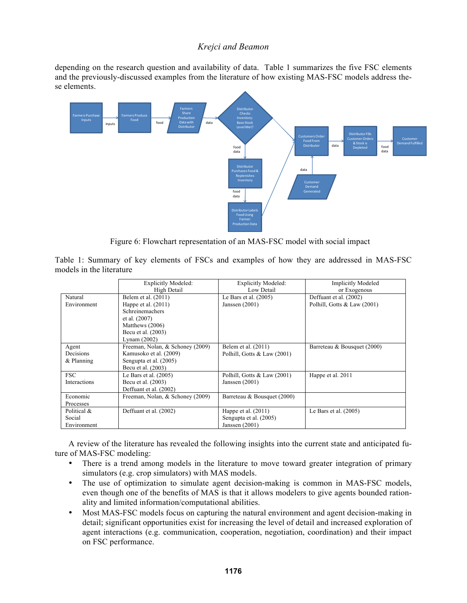depending on the research question and availability of data. Table 1 summarizes the five FSC elements and the previously-discussed examples from the literature of how existing MAS-FSC models address these elements.



Figure 6: Flowchart representation of an MAS-FSC model with social impact

Table 1: Summary of key elements of FSCs and examples of how they are addressed in MAS-FSC models in the literature

|              | <b>Explicitly Modeled:</b>       | <b>Explicitly Modeled:</b>  | <b>Implicitly Modeled</b>   |
|--------------|----------------------------------|-----------------------------|-----------------------------|
|              | High Detail                      | Low Detail                  | or Exogenous                |
| Natural      | Belem et al. (2011)              | Le Bars et al. $(2005)$     | Deffuant et al. (2002)      |
| Environment  | Happe et al. $(2011)$            | Janssen $(2001)$            | Polhill, Gotts & Law (2001) |
|              | Schreinemachers                  |                             |                             |
|              | et al. (2007)                    |                             |                             |
|              | Matthews (2006)                  |                             |                             |
|              | Becu et al. (2003)               |                             |                             |
|              | Lvnam (2002)                     |                             |                             |
| Agent        | Freeman, Nolan, & Schoney (2009) | Belem et al. (2011)         | Barreteau & Bousquet (2000) |
| Decisions    | Kamusoko et al. (2009)           | Polhill, Gotts & Law (2001) |                             |
| $&$ Planning | Sengupta et al. (2005)           |                             |                             |
|              | Becu et al. (2003)               |                             |                             |
| <b>FSC</b>   | Le Bars et al. $(2005)$          | Polhill, Gotts & Law (2001) | Happe et al. 2011           |
| Interactions | Becu et al. (2003)               | Janssen (2001)              |                             |
|              | Deffuant et al. (2002)           |                             |                             |
| Economic     | Freeman, Nolan, & Schoney (2009) | Barreteau & Bousquet (2000) |                             |
| Processes    |                                  |                             |                             |
| Political &  | Deffuant et al. (2002)           | Happe et al. $(2011)$       | Le Bars et al. $(2005)$     |
| Social       |                                  | Sengupta et al. (2005)      |                             |
| Environment  |                                  | Janssen (2001)              |                             |

A review of the literature has revealed the following insights into the current state and anticipated future of MAS-FSC modeling:

- There is a trend among models in the literature to move toward greater integration of primary simulators (e.g. crop simulators) with MAS models.
- The use of optimization to simulate agent decision-making is common in MAS-FSC models, even though one of the benefits of MAS is that it allows modelers to give agents bounded rationality and limited information/computational abilities.
- Most MAS-FSC models focus on capturing the natural environment and agent decision-making in detail; significant opportunities exist for increasing the level of detail and increased exploration of agent interactions (e.g. communication, cooperation, negotiation, coordination) and their impact on FSC performance.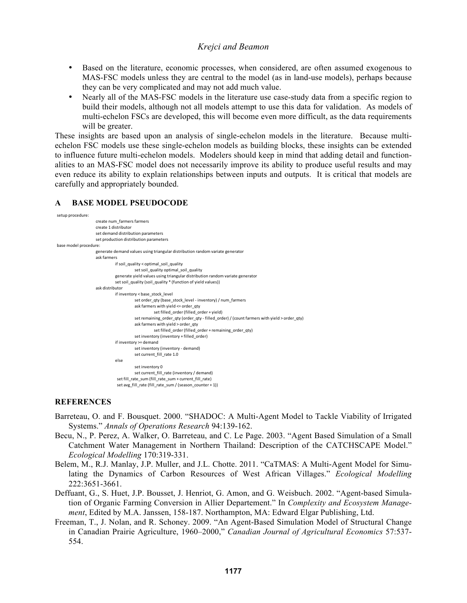- Based on the literature, economic processes, when considered, are often assumed exogenous to MAS-FSC models unless they are central to the model (as in land-use models), perhaps because they can be very complicated and may not add much value.
- Nearly all of the MAS-FSC models in the literature use case-study data from a specific region to build their models, although not all models attempt to use this data for validation. As models of multi-echelon FSCs are developed, this will become even more difficult, as the data requirements will be greater.

These insights are based upon an analysis of single-echelon models in the literature. Because multiechelon FSC models use these single-echelon models as building blocks, these insights can be extended to influence future multi-echelon models. Modelers should keep in mind that adding detail and functionalities to an MAS-FSC model does not necessarily improve its ability to produce useful results and may even reduce its ability to explain relationships between inputs and outputs. It is critical that models are carefully and appropriately bounded.

### **A BASE MODEL PSEUDOCODE**

```
setup procedure:
                      create num_farmers farmers
                      create 1 distributor
                      set demand distribution parameters
                      set production distribution parameters
base model procedure:
                      generate demand values using triangular distribution random variate generator
                      ask farmers
                                if soil_quality < optimal_soil_quality
                                           set soil_quality optimal_soil_quality
                                generate yield values using triangular distribution random variate generator
                                set soil_quality (soil_quality * (function of yield values))
                      ask distributor
                                if inventory < base_stock_level
                                           set order_qty (base_stock_level - inventory) / num_farmers
                                           ask farmers with yield <= order_qty
                                                      set filled_order (filled_order + yield)
                                           set remaining_order_qty (order_qty - filled_order) / (count farmers with yield > order_qty)
                                           ask farmers with yield > order_qty
                                                      set filled_order (filled_order + remaining_order_qty)
                                           set inventory (inventory + filled_order)
                                if inventory >= demand
                                           set inventory (inventory - demand)
                                           set current_fill_rate 1.0
                                else
                                           set inventory 0
                                           set current_fill_rate (inventory / demand)
                                set fill_rate_sum (fill_rate_sum + current_fill_rate)
                                set avg_fill_rate (fill_rate_sum / (season_counter + 1))
```
#### **REFERENCES**

- Barreteau, O. and F. Bousquet. 2000. "SHADOC: A Multi-Agent Model to Tackle Viability of Irrigated Systems." *Annals of Operations Research* 94:139-162.
- Becu, N., P. Perez, A. Walker, O. Barreteau, and C. Le Page. 2003. "Agent Based Simulation of a Small Catchment Water Management in Northern Thailand: Description of the CATCHSCAPE Model." *Ecological Modelling* 170:319-331.
- Belem, M., R.J. Manlay, J.P. Muller, and J.L. Chotte. 2011. "CaTMAS: A Multi-Agent Model for Simulating the Dynamics of Carbon Resources of West African Villages." *Ecological Modelling* 222:3651-3661.
- Deffuant, G., S. Huet, J.P. Bousset, J. Henriot, G. Amon, and G. Weisbuch. 2002. "Agent-based Simulation of Organic Farming Conversion in Allier Departement." In *Complexity and Ecosystem Management*, Edited by M.A. Janssen, 158-187. Northampton, MA: Edward Elgar Publishing, Ltd.
- Freeman, T., J. Nolan, and R. Schoney. 2009. "An Agent-Based Simulation Model of Structural Change in Canadian Prairie Agriculture, 1960–2000," *Canadian Journal of Agricultural Economics* 57:537- 554.